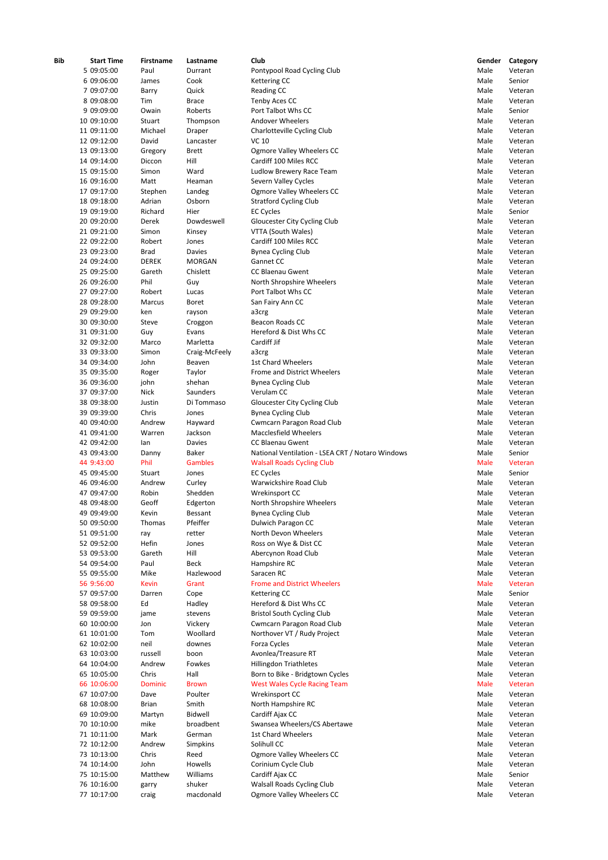| Bib | <b>Start Time</b><br>5 09:05:00 | Firstname      | Lastname      | Club                                             | Gender<br>Male | Category |
|-----|---------------------------------|----------------|---------------|--------------------------------------------------|----------------|----------|
|     |                                 | Paul           | Durrant       | Pontypool Road Cycling Club                      | Male           | Veteran  |
|     | 6 09:06:00                      | James          | Cook          | Kettering CC                                     |                | Senior   |
|     | 7 09:07:00                      | Barry          | Quick         | Reading CC                                       | Male           | Veteran  |
|     | 8 09:08:00                      | Tim            | <b>Brace</b>  | <b>Tenby Aces CC</b>                             | Male           | Veteran  |
|     | 9 09:09:00                      | Owain          | Roberts       | Port Talbot Whs CC                               | Male           | Senior   |
|     | 10 09:10:00                     | Stuart         | Thompson      | Andover Wheelers                                 | Male           | Veteran  |
|     | 11 09:11:00                     | Michael        | Draper        | Charlotteville Cycling Club                      | Male           | Veteran  |
|     | 12 09:12:00                     | David          | Lancaster     | VC 10                                            | Male           | Veteran  |
|     | 13 09:13:00                     | Gregory        | Brett         | Ogmore Valley Wheelers CC                        | Male           | Veteran  |
|     | 14 09:14:00                     | Diccon         | Hill          | Cardiff 100 Miles RCC                            | Male           | Veteran  |
|     | 15 09:15:00                     | Simon          | Ward          | Ludlow Brewery Race Team                         | Male           | Veteran  |
|     | 16 09:16:00                     | Matt           | Heaman        | Severn Valley Cycles                             | Male           | Veteran  |
|     | 17 09:17:00                     | Stephen        | Landeg        | Ogmore Valley Wheelers CC                        | Male           | Veteran  |
|     | 18 09:18:00                     | Adrian         | Osborn        | <b>Stratford Cycling Club</b>                    | Male           | Veteran  |
|     | 19 09:19:00                     | Richard        | Hier          | <b>EC Cycles</b>                                 | Male           | Senior   |
|     | 20 09:20:00                     | Derek          | Dowdeswell    | Gloucester City Cycling Club                     | Male           | Veteran  |
|     | 21 09:21:00                     | Simon          | Kinsey        | VTTA (South Wales)                               | Male           | Veteran  |
|     | 22 09:22:00                     | Robert         | Jones         | Cardiff 100 Miles RCC                            | Male           | Veteran  |
|     | 23 09:23:00                     | <b>Brad</b>    | Davies        | <b>Bynea Cycling Club</b>                        | Male           | Veteran  |
|     | 24 09:24:00                     | <b>DEREK</b>   | <b>MORGAN</b> | Gannet CC                                        | Male           | Veteran  |
|     | 25 09:25:00                     | Gareth         | Chislett      | <b>CC Blaenau Gwent</b>                          | Male           | Veteran  |
|     | 26 09:26:00                     | Phil           | Guy           | North Shropshire Wheelers                        | Male           | Veteran  |
|     | 27 09:27:00                     | Robert         | Lucas         | Port Talbot Whs CC                               | Male           | Veteran  |
|     | 28 09:28:00                     | Marcus         | <b>Boret</b>  | San Fairy Ann CC                                 | Male           | Veteran  |
|     | 29 09:29:00                     | ken            | rayson        | a3crg                                            | Male           | Veteran  |
|     | 30 09:30:00                     | Steve          |               | <b>Beacon Roads CC</b>                           | Male           | Veteran  |
|     |                                 |                | Croggon       |                                                  |                |          |
|     | 31 09:31:00                     | Guy            | Evans         | Hereford & Dist Whs CC                           | Male           | Veteran  |
|     | 32 09:32:00                     | Marco          | Marletta      | Cardiff Jif                                      | Male           | Veteran  |
|     | 33 09:33:00                     | Simon          | Craig-McFeely | a3crg                                            | Male           | Veteran  |
|     | 34 09:34:00                     | John           | Beaven        | <b>1st Chard Wheelers</b>                        | Male           | Veteran  |
|     | 35 09:35:00                     | Roger          | Taylor        | Frome and District Wheelers                      | Male           | Veteran  |
|     | 36 09:36:00                     | john           | shehan        | <b>Bynea Cycling Club</b>                        | Male           | Veteran  |
|     | 37 09:37:00                     | <b>Nick</b>    | Saunders      | Verulam CC                                       | Male           | Veteran  |
|     | 38 09:38:00                     | Justin         | Di Tommaso    | Gloucester City Cycling Club                     | Male           | Veteran  |
|     | 39 09:39:00                     | Chris          | Jones         | <b>Bynea Cycling Club</b>                        | Male           | Veteran  |
|     | 40 09:40:00                     | Andrew         | Hayward       | Cwmcarn Paragon Road Club                        | Male           | Veteran  |
|     | 41 09:41:00                     | Warren         | Jackson       | <b>Macclesfield Wheelers</b>                     | Male           | Veteran  |
|     | 42 09:42:00                     | lan            | Davies        | CC Blaenau Gwent                                 | Male           | Veteran  |
|     | 43 09:43:00                     | Danny          | Baker         | National Ventilation - LSEA CRT / Notaro Windows | Male           | Senior   |
|     | 44 9:43:00                      | Phil           | Gambles       | <b>Walsall Roads Cycling Club</b>                | Male           | Veteran  |
|     | 45 09:45:00                     | Stuart         | Jones         | <b>EC Cycles</b>                                 | Male           | Senior   |
|     | 46 09:46:00                     | Andrew         | Curley        | Warwickshire Road Club                           | Male           | Veteran  |
|     | 47 09:47:00                     | Robin          | Shedden       | Wrekinsport CC                                   | Male           | Veteran  |
|     | 48 09:48:00                     | Geoff          | Edgerton      | North Shropshire Wheelers                        | Male           | Veteran  |
|     | 49 09:49:00                     | Kevin          | Bessant       | <b>Bynea Cycling Club</b>                        | Male           | Veteran  |
|     | 50 09:50:00                     | Thomas         | Pfeiffer      | Dulwich Paragon CC                               | Male           | Veteran  |
|     | 51 09:51:00                     | ray            | retter        | North Devon Wheelers                             | Male           | Veteran  |
|     | 52 09:52:00                     | Hefin          | Jones         | Ross on Wye & Dist CC                            | Male           | Veteran  |
|     | 53 09:53:00                     | Gareth         | Hill          | Abercynon Road Club                              | Male           | Veteran  |
|     | 54 09:54:00                     | Paul           | <b>Beck</b>   | Hampshire RC                                     | Male           | Veteran  |
|     |                                 |                | Hazlewood     | Saracen RC                                       |                |          |
|     | 55 09:55:00                     | Mike           |               |                                                  | Male           | Veteran  |
|     | 56 9:56:00                      | <b>Kevin</b>   | Grant         | <b>Frome and District Wheelers</b>               | Male           | Veteran  |
|     | 57 09:57:00                     | Darren         | Cope          | Kettering CC                                     | Male           | Senior   |
|     | 58 09:58:00                     | Ed             | Hadley        | Hereford & Dist Whs CC                           | Male           | Veteran  |
|     | 59 09:59:00                     | jame           | stevens       | <b>Bristol South Cycling Club</b>                | Male           | Veteran  |
|     | 60 10:00:00                     | Jon            | Vickery       | Cwmcarn Paragon Road Club                        | Male           | Veteran  |
|     | 61 10:01:00                     | Tom            | Woollard      | Northover VT / Rudy Project                      | Male           | Veteran  |
|     | 62 10:02:00                     | neil           | downes        | Forza Cycles                                     | Male           | Veteran  |
|     | 63 10:03:00                     | russell        | boon          | Avonlea/Treasure RT                              | Male           | Veteran  |
|     | 64 10:04:00                     | Andrew         | Fowkes        | <b>Hillingdon Triathletes</b>                    | Male           | Veteran  |
|     | 65 10:05:00                     | Chris          | Hall          | Born to Bike - Bridgtown Cycles                  | Male           | Veteran  |
|     | 66 10:06:00                     | <b>Dominic</b> | <b>Brown</b>  | <b>West Wales Cycle Racing Team</b>              | Male           | Veteran  |
|     | 67 10:07:00                     | Dave           | Poulter       | Wrekinsport CC                                   | Male           | Veteran  |
|     | 68 10:08:00                     | <b>Brian</b>   | Smith         | North Hampshire RC                               | Male           | Veteran  |
|     | 69 10:09:00                     | Martyn         | Bidwell       | Cardiff Ajax CC                                  | Male           | Veteran  |
|     | 70 10:10:00                     | mike           | broadbent     | Swansea Wheelers/CS Abertawe                     | Male           | Veteran  |
|     | 71 10:11:00                     | Mark           | German        | 1st Chard Wheelers                               | Male           | Veteran  |
|     | 72 10:12:00                     | Andrew         | Simpkins      | Solihull CC                                      | Male           | Veteran  |
|     | 73 10:13:00                     | Chris          | Reed          | Ogmore Valley Wheelers CC                        | Male           | Veteran  |
|     | 74 10:14:00                     | John           | Howells       | Corinium Cycle Club                              | Male           | Veteran  |
|     | 75 10:15:00                     | Matthew        | Williams      | Cardiff Ajax CC                                  | Male           | Senior   |
|     | 76 10:16:00                     | garry          | shuker        | <b>Walsall Roads Cycling Club</b>                | Male           | Veteran  |
|     | 77 10:17:00                     | craig          | macdonald     | Ogmore Valley Wheelers CC                        | Male           | Veteran  |
|     |                                 |                |               |                                                  |                |          |